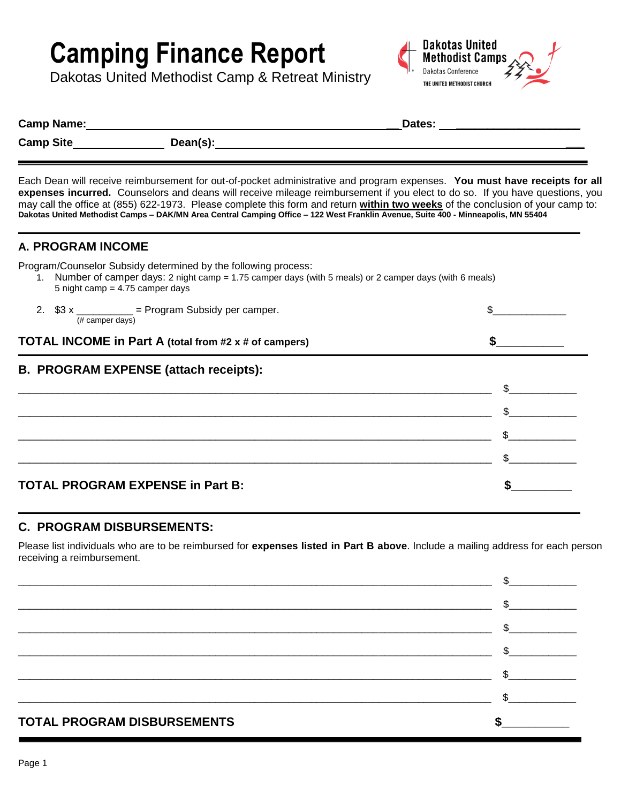# **Camping Finance Report**

Dakotas United Methodist Camp & Retreat Ministry



| Camp Name: |          | Dates: |
|------------|----------|--------|
| Camp Site  | Dean(s): |        |
|            |          |        |

Each Dean will receive reimbursement for out-of-pocket administrative and program expenses. **You must have receipts for all expenses incurred.** Counselors and deans will receive mileage reimbursement if you elect to do so. If you have questions, you may call the office at (855) 622-1973. Please complete this form and return **within two weeks** of the conclusion of your camp to: **Dakotas United Methodist Camps – DAK/MN Area Central Camping Office – 122 West Franklin Avenue, Suite 400 - Minneapolis, MN 55404**

## **A. PROGRAM INCOME**

Program/Counselor Subsidy determined by the following process:

| 1. Number of camper days: 2 night camp = 1.75 camper days (with 5 meals) or 2 camper days (with 6 meals) |
|----------------------------------------------------------------------------------------------------------|
| 5 night camp $=$ 4.75 camper days                                                                        |

| 2. $$3 x$ __________ = Program Subsidy per camper.<br>(# camper days) |              |  |
|-----------------------------------------------------------------------|--------------|--|
| TOTAL INCOME in Part A (total from #2 x # of campers)                 |              |  |
| <b>B. PROGRAM EXPENSE (attach receipts):</b>                          |              |  |
|                                                                       | \$           |  |
|                                                                       | \$.          |  |
|                                                                       | $\mathbb{S}$ |  |
|                                                                       |              |  |
| <b>TOTAL PROGRAM EXPENSE in Part B:</b>                               |              |  |

## **C. PROGRAM DISBURSEMENTS:**

Please list individuals who are to be reimbursed for **expenses listed in Part B above**. Include a mailing address for each person receiving a reimbursement.

| <b>TOTAL PROGRAM DISBURSEMENTS</b> |              |
|------------------------------------|--------------|
|                                    | \$           |
|                                    | \$.          |
|                                    | $\mathbb{S}$ |
|                                    |              |
|                                    | $\mathbb{S}$ |
|                                    |              |